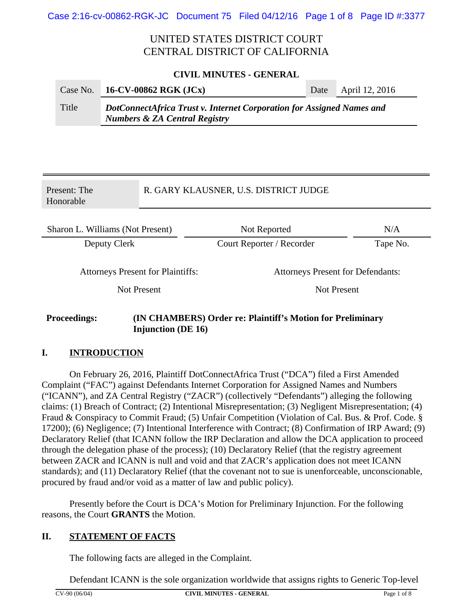# UNITED STATES DISTRICT COURT CENTRAL DISTRICT OF CALIFORNIA

#### **CIVIL MINUTES - GENERAL**

| Case No. | 16-CV-00862 RGK (JCx)                                                                                             | Date | April 12, 2016 |  |
|----------|-------------------------------------------------------------------------------------------------------------------|------|----------------|--|
| Title    | DotConnectAfrica Trust v. Internet Corporation for Assigned Names and<br><b>Numbers &amp; ZA Central Registry</b> |      |                |  |

| Present: The<br>Honorable                               |  | R. GARY KLAUSNER, U.S. DISTRICT JUDGE                             |          |  |
|---------------------------------------------------------|--|-------------------------------------------------------------------|----------|--|
| Sharon L. Williams (Not Present)                        |  | Not Reported                                                      | N/A      |  |
| Deputy Clerk                                            |  | Court Reporter / Recorder                                         | Tape No. |  |
| <b>Attorneys Present for Plaintiffs:</b><br>Not Present |  | <b>Attorneys Present for Defendants:</b><br>Not Present           |          |  |
| <b>Proceedings:</b>                                     |  | <b>(IN CHAMBERS) Order re: Plaintiff's Motion for Preliminary</b> |          |  |

### **Proceedings: (IN CHAMBERS) Order re: Plaintiff's Motion for Preliminary Injunction (DE 16)**

#### **I. INTRODUCTION**

On February 26, 2016, Plaintiff DotConnectAfrica Trust ("DCA") filed a First Amended Complaint ("FAC") against Defendants Internet Corporation for Assigned Names and Numbers ("ICANN"), and ZA Central Registry ("ZACR") (collectively "Defendants") alleging the following claims: (1) Breach of Contract; (2) Intentional Misrepresentation; (3) Negligent Misrepresentation; (4) Fraud & Conspiracy to Commit Fraud; (5) Unfair Competition (Violation of Cal. Bus. & Prof. Code. § 17200); (6) Negligence; (7) Intentional Interference with Contract; (8) Confirmation of IRP Award; (9) Declaratory Relief (that ICANN follow the IRP Declaration and allow the DCA application to proceed through the delegation phase of the process); (10) Declaratory Relief (that the registry agreement between ZACR and ICANN is null and void and that ZACR's application does not meet ICANN standards); and (11) Declaratory Relief (that the covenant not to sue is unenforceable, unconscionable, procured by fraud and/or void as a matter of law and public policy).

Presently before the Court is DCA's Motion for Preliminary Injunction. For the following reasons, the Court **GRANTS** the Motion.

#### **II. STATEMENT OF FACTS**

The following facts are alleged in the Complaint.

Defendant ICANN is the sole organization worldwide that assigns rights to Generic Top-level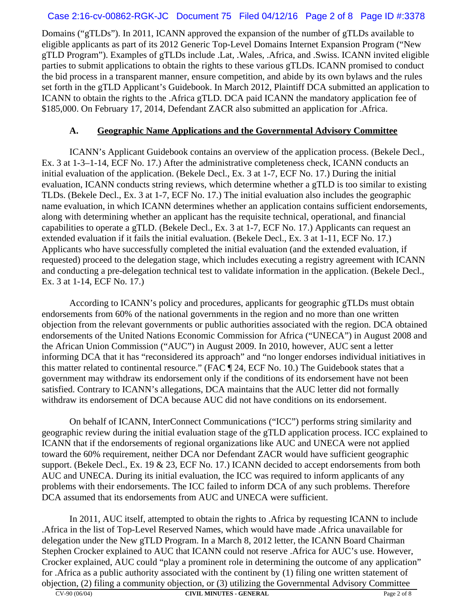## Case 2:16-cv-00862-RGK-JC Document 75 Filed 04/12/16 Page 2 of 8 Page ID #:3378

Domains ("gTLDs"). In 2011, ICANN approved the expansion of the number of gTLDs available to eligible applicants as part of its 2012 Generic Top-Level Domains Internet Expansion Program ("New gTLD Program"). Examples of gTLDs include .Lat, .Wales, .Africa, and .Swiss. ICANN invited eligible parties to submit applications to obtain the rights to these various gTLDs. ICANN promised to conduct the bid process in a transparent manner, ensure competition, and abide by its own bylaws and the rules set forth in the gTLD Applicant's Guidebook. In March 2012, Plaintiff DCA submitted an application to ICANN to obtain the rights to the .Africa gTLD. DCA paid ICANN the mandatory application fee of \$185,000. On February 17, 2014, Defendant ZACR also submitted an application for .Africa.

## **A. Geographic Name Applications and the Governmental Advisory Committee**

ICANN's Applicant Guidebook contains an overview of the application process. (Bekele Decl., Ex. 3 at 1-3–1-14, ECF No. 17.) After the administrative completeness check, ICANN conducts an initial evaluation of the application. (Bekele Decl., Ex. 3 at 1-7, ECF No. 17.) During the initial evaluation, ICANN conducts string reviews, which determine whether a gTLD is too similar to existing TLDs. (Bekele Decl., Ex. 3 at 1-7, ECF No. 17.) The initial evaluation also includes the geographic name evaluation, in which ICANN determines whether an application contains sufficient endorsements, along with determining whether an applicant has the requisite technical, operational, and financial capabilities to operate a gTLD. (Bekele Decl., Ex. 3 at 1-7, ECF No. 17.) Applicants can request an extended evaluation if it fails the initial evaluation. (Bekele Decl., Ex. 3 at 1-11, ECF No. 17.) Applicants who have successfully completed the initial evaluation (and the extended evaluation, if requested) proceed to the delegation stage, which includes executing a registry agreement with ICANN and conducting a pre-delegation technical test to validate information in the application. (Bekele Decl., Ex. 3 at 1-14, ECF No. 17.)

According to ICANN's policy and procedures, applicants for geographic gTLDs must obtain endorsements from 60% of the national governments in the region and no more than one written objection from the relevant governments or public authorities associated with the region. DCA obtained endorsements of the United Nations Economic Commission for Africa ("UNECA") in August 2008 and the African Union Commission ("AUC") in August 2009. In 2010, however, AUC sent a letter informing DCA that it has "reconsidered its approach" and "no longer endorses individual initiatives in this matter related to continental resource." (FAC ¶ 24, ECF No. 10.) The Guidebook states that a government may withdraw its endorsement only if the conditions of its endorsement have not been satisfied. Contrary to ICANN's allegations, DCA maintains that the AUC letter did not formally withdraw its endorsement of DCA because AUC did not have conditions on its endorsement.

On behalf of ICANN, InterConnect Communications ("ICC") performs string similarity and geographic review during the initial evaluation stage of the gTLD application process. ICC explained to ICANN that if the endorsements of regional organizations like AUC and UNECA were not applied toward the 60% requirement, neither DCA nor Defendant ZACR would have sufficient geographic support. (Bekele Decl., Ex. 19 & 23, ECF No. 17.) ICANN decided to accept endorsements from both AUC and UNECA. During its initial evaluation, the ICC was required to inform applicants of any problems with their endorsements. The ICC failed to inform DCA of any such problems. Therefore DCA assumed that its endorsements from AUC and UNECA were sufficient.

In 2011, AUC itself, attempted to obtain the rights to .Africa by requesting ICANN to include .Africa in the list of Top-Level Reserved Names, which would have made .Africa unavailable for delegation under the New gTLD Program. In a March 8, 2012 letter, the ICANN Board Chairman Stephen Crocker explained to AUC that ICANN could not reserve .Africa for AUC's use. However, Crocker explained, AUC could "play a prominent role in determining the outcome of any application" for .Africa as a public authority associated with the continent by (1) filing one written statement of objection, (2) filing a community objection, or (3) utilizing the Governmental Advisory Committee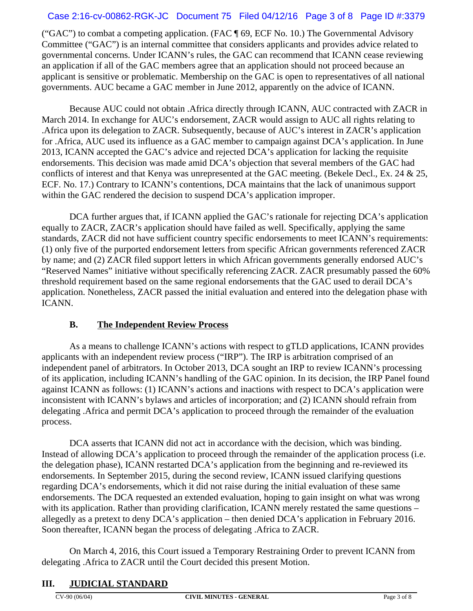## Case 2:16-cv-00862-RGK-JC Document 75 Filed 04/12/16 Page 3 of 8 Page ID #:3379

("GAC") to combat a competing application. (FAC ¶ 69, ECF No. 10.) The Governmental Advisory Committee ("GAC") is an internal committee that considers applicants and provides advice related to governmental concerns. Under ICANN's rules, the GAC can recommend that ICANN cease reviewing an application if all of the GAC members agree that an application should not proceed because an applicant is sensitive or problematic. Membership on the GAC is open to representatives of all national governments. AUC became a GAC member in June 2012, apparently on the advice of ICANN.

Because AUC could not obtain .Africa directly through ICANN, AUC contracted with ZACR in March 2014. In exchange for AUC's endorsement, ZACR would assign to AUC all rights relating to .Africa upon its delegation to ZACR. Subsequently, because of AUC's interest in ZACR's application for .Africa, AUC used its influence as a GAC member to campaign against DCA's application. In June 2013, ICANN accepted the GAC's advice and rejected DCA's application for lacking the requisite endorsements. This decision was made amid DCA's objection that several members of the GAC had conflicts of interest and that Kenya was unrepresented at the GAC meeting. (Bekele Decl., Ex. 24 & 25, ECF. No. 17.) Contrary to ICANN's contentions, DCA maintains that the lack of unanimous support within the GAC rendered the decision to suspend DCA's application improper.

DCA further argues that, if ICANN applied the GAC's rationale for rejecting DCA's application equally to ZACR, ZACR's application should have failed as well. Specifically, applying the same standards, ZACR did not have sufficient country specific endorsements to meet ICANN's requirements: (1) only five of the purported endorsement letters from specific African governments referenced ZACR by name; and (2) ZACR filed support letters in which African governments generally endorsed AUC's "Reserved Names" initiative without specifically referencing ZACR. ZACR presumably passed the 60% threshold requirement based on the same regional endorsements that the GAC used to derail DCA's application. Nonetheless, ZACR passed the initial evaluation and entered into the delegation phase with ICANN.

## **B. The Independent Review Process**

As a means to challenge ICANN's actions with respect to gTLD applications, ICANN provides applicants with an independent review process ("IRP"). The IRP is arbitration comprised of an independent panel of arbitrators. In October 2013, DCA sought an IRP to review ICANN's processing of its application, including ICANN's handling of the GAC opinion. In its decision, the IRP Panel found against ICANN as follows: (1) ICANN's actions and inactions with respect to DCA's application were inconsistent with ICANN's bylaws and articles of incorporation; and (2) ICANN should refrain from delegating .Africa and permit DCA's application to proceed through the remainder of the evaluation process.

DCA asserts that ICANN did not act in accordance with the decision, which was binding. Instead of allowing DCA's application to proceed through the remainder of the application process (i.e. the delegation phase), ICANN restarted DCA's application from the beginning and re-reviewed its endorsements. In September 2015, during the second review, ICANN issued clarifying questions regarding DCA's endorsements, which it did not raise during the initial evaluation of these same endorsements. The DCA requested an extended evaluation, hoping to gain insight on what was wrong with its application. Rather than providing clarification, ICANN merely restated the same questions – allegedly as a pretext to deny DCA's application – then denied DCA's application in February 2016. Soon thereafter, ICANN began the process of delegating .Africa to ZACR.

On March 4, 2016, this Court issued a Temporary Restraining Order to prevent ICANN from delegating .Africa to ZACR until the Court decided this present Motion.

# **III. JUDICIAL STANDARD**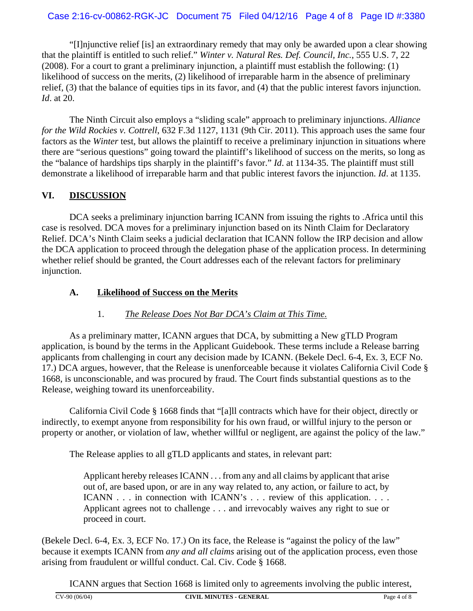## Case 2:16-cv-00862-RGK-JC Document 75 Filed 04/12/16 Page 4 of 8 Page ID #:3380

"[I]njunctive relief [is] an extraordinary remedy that may only be awarded upon a clear showing that the plaintiff is entitled to such relief." *Winter v. Natural Res. Def. Council, Inc.*, 555 U.S. 7, 22 (2008). For a court to grant a preliminary injunction, a plaintiff must establish the following: (1) likelihood of success on the merits, (2) likelihood of irreparable harm in the absence of preliminary relief, (3) that the balance of equities tips in its favor, and (4) that the public interest favors injunction. *Id*. at 20.

The Ninth Circuit also employs a "sliding scale" approach to preliminary injunctions. *Alliance for the Wild Rockies v. Cottrell*, 632 F.3d 1127, 1131 (9th Cir. 2011). This approach uses the same four factors as the *Winter* test, but allows the plaintiff to receive a preliminary injunction in situations where there are "serious questions" going toward the plaintiff's likelihood of success on the merits, so long as the "balance of hardships tips sharply in the plaintiff's favor." *Id*. at 1134-35. The plaintiff must still demonstrate a likelihood of irreparable harm and that public interest favors the injunction. *Id*. at 1135.

## **VI. DISCUSSION**

DCA seeks a preliminary injunction barring ICANN from issuing the rights to .Africa until this case is resolved. DCA moves for a preliminary injunction based on its Ninth Claim for Declaratory Relief. DCA's Ninth Claim seeks a judicial declaration that ICANN follow the IRP decision and allow the DCA application to proceed through the delegation phase of the application process. In determining whether relief should be granted, the Court addresses each of the relevant factors for preliminary injunction.

## **A. Likelihood of Success on the Merits**

# 1. *The Release Does Not Bar DCA's Claim at This Time.*

As a preliminary matter, ICANN argues that DCA, by submitting a New gTLD Program application, is bound by the terms in the Applicant Guidebook. These terms include a Release barring applicants from challenging in court any decision made by ICANN. (Bekele Decl. 6-4, Ex. 3, ECF No. 17.) DCA argues, however, that the Release is unenforceable because it violates California Civil Code § 1668, is unconscionable, and was procured by fraud. The Court finds substantial questions as to the Release, weighing toward its unenforceability.

California Civil Code § 1668 finds that "[a]ll contracts which have for their object, directly or indirectly, to exempt anyone from responsibility for his own fraud, or willful injury to the person or property or another, or violation of law, whether willful or negligent, are against the policy of the law."

The Release applies to all gTLD applicants and states, in relevant part:

Applicant hereby releases ICANN . . . from any and all claims by applicant that arise out of, are based upon, or are in any way related to, any action, or failure to act, by ICANN . . . in connection with ICANN's . . . review of this application. . . . Applicant agrees not to challenge . . . and irrevocably waives any right to sue or proceed in court.

(Bekele Decl. 6-4, Ex. 3, ECF No. 17.) On its face, the Release is "against the policy of the law" because it exempts ICANN from *any and all claims* arising out of the application process, even those arising from fraudulent or willful conduct. Cal. Civ. Code § 1668.

ICANN argues that Section 1668 is limited only to agreements involving the public interest,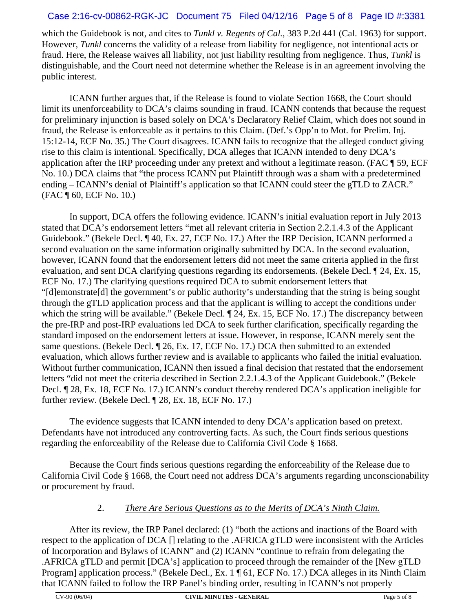## Case 2:16-cv-00862-RGK-JC Document 75 Filed 04/12/16 Page 5 of 8 Page ID #:3381

which the Guidebook is not, and cites to *Tunkl v. Regents of Cal.*, 383 P.2d 441 (Cal. 1963) for support. However, *Tunkl* concerns the validity of a release from liability for negligence, not intentional acts or fraud. Here, the Release waives all liability, not just liability resulting from negligence. Thus, *Tunkl* is distinguishable, and the Court need not determine whether the Release is in an agreement involving the public interest.

ICANN further argues that, if the Release is found to violate Section 1668, the Court should limit its unenforceability to DCA's claims sounding in fraud. ICANN contends that because the request for preliminary injunction is based solely on DCA's Declaratory Relief Claim, which does not sound in fraud, the Release is enforceable as it pertains to this Claim. (Def.'s Opp'n to Mot. for Prelim. Inj. 15:12-14, ECF No. 35.) The Court disagrees. ICANN fails to recognize that the alleged conduct giving rise to this claim is intentional. Specifically, DCA alleges that ICANN intended to deny DCA's application after the IRP proceeding under any pretext and without a legitimate reason. (FAC ¶ 59, ECF No. 10.) DCA claims that "the process ICANN put Plaintiff through was a sham with a predetermined ending – ICANN's denial of Plaintiff's application so that ICANN could steer the gTLD to ZACR." (FAC ¶ 60, ECF No. 10.)

In support, DCA offers the following evidence. ICANN's initial evaluation report in July 2013 stated that DCA's endorsement letters "met all relevant criteria in Section 2.2.1.4.3 of the Applicant Guidebook." (Bekele Decl. ¶ 40, Ex. 27, ECF No. 17.) After the IRP Decision, ICANN performed a second evaluation on the same information originally submitted by DCA. In the second evaluation, however, ICANN found that the endorsement letters did not meet the same criteria applied in the first evaluation, and sent DCA clarifying questions regarding its endorsements. (Bekele Decl. ¶ 24, Ex. 15, ECF No. 17.) The clarifying questions required DCA to submit endorsement letters that "[d]emonstrate[d] the government's or public authority's understanding that the string is being sought through the gTLD application process and that the applicant is willing to accept the conditions under which the string will be available." (Bekele Decl. ¶ 24, Ex. 15, ECF No. 17.) The discrepancy between the pre-IRP and post-IRP evaluations led DCA to seek further clarification, specifically regarding the standard imposed on the endorsement letters at issue. However, in response, ICANN merely sent the same questions. (Bekele Decl. ¶ 26, Ex. 17, ECF No. 17.) DCA then submitted to an extended evaluation, which allows further review and is available to applicants who failed the initial evaluation. Without further communication, ICANN then issued a final decision that restated that the endorsement letters "did not meet the criteria described in Section 2.2.1.4.3 of the Applicant Guidebook." (Bekele Decl. ¶ 28, Ex. 18, ECF No. 17.) ICANN's conduct thereby rendered DCA's application ineligible for further review. (Bekele Decl. ¶ 28, Ex. 18, ECF No. 17.)

The evidence suggests that ICANN intended to deny DCA's application based on pretext. Defendants have not introduced any controverting facts. As such, the Court finds serious questions regarding the enforceability of the Release due to California Civil Code § 1668.

Because the Court finds serious questions regarding the enforceability of the Release due to California Civil Code § 1668, the Court need not address DCA's arguments regarding unconscionability or procurement by fraud.

## 2. *There Are Serious Questions as to the Merits of DCA's Ninth Claim.*

After its review, the IRP Panel declared: (1) "both the actions and inactions of the Board with respect to the application of DCA [] relating to the .AFRICA gTLD were inconsistent with the Articles of Incorporation and Bylaws of ICANN" and (2) ICANN "continue to refrain from delegating the .AFRICA gTLD and permit [DCA's] application to proceed through the remainder of the [New gTLD Program] application process." (Bekele Decl., Ex. 1 ¶ 61, ECF No. 17.) DCA alleges in its Ninth Claim that ICANN failed to follow the IRP Panel's binding order, resulting in ICANN's not properly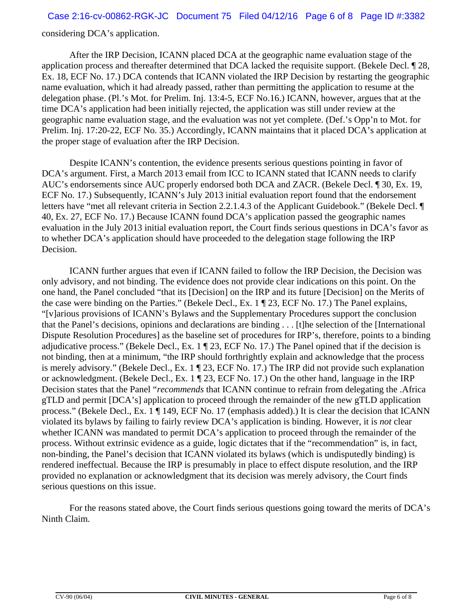### Case 2:16-cv-00862-RGK-JC Document 75 Filed 04/12/16 Page 6 of 8 Page ID #:3382

considering DCA's application.

After the IRP Decision, ICANN placed DCA at the geographic name evaluation stage of the application process and thereafter determined that DCA lacked the requisite support. (Bekele Decl. ¶ 28, Ex. 18, ECF No. 17.) DCA contends that ICANN violated the IRP Decision by restarting the geographic name evaluation, which it had already passed, rather than permitting the application to resume at the delegation phase. (Pl.'s Mot. for Prelim. Inj. 13:4-5, ECF No.16.) ICANN, however, argues that at the time DCA's application had been initially rejected, the application was still under review at the geographic name evaluation stage, and the evaluation was not yet complete. (Def.'s Opp'n to Mot. for Prelim. Inj. 17:20-22, ECF No. 35.) Accordingly, ICANN maintains that it placed DCA's application at the proper stage of evaluation after the IRP Decision.

Despite ICANN's contention, the evidence presents serious questions pointing in favor of DCA's argument. First, a March 2013 email from ICC to ICANN stated that ICANN needs to clarify AUC's endorsements since AUC properly endorsed both DCA and ZACR. (Bekele Decl. ¶ 30, Ex. 19, ECF No. 17.) Subsequently, ICANN's July 2013 initial evaluation report found that the endorsement letters have "met all relevant criteria in Section 2.2.1.4.3 of the Applicant Guidebook." (Bekele Decl. ¶ 40, Ex. 27, ECF No. 17.) Because ICANN found DCA's application passed the geographic names evaluation in the July 2013 initial evaluation report, the Court finds serious questions in DCA's favor as to whether DCA's application should have proceeded to the delegation stage following the IRP Decision.

ICANN further argues that even if ICANN failed to follow the IRP Decision, the Decision was only advisory, and not binding. The evidence does not provide clear indications on this point. On the one hand, the Panel concluded "that its [Decision] on the IRP and its future [Decision] on the Merits of the case were binding on the Parties." (Bekele Decl., Ex. 1 ¶ 23, ECF No. 17.) The Panel explains, "[v]arious provisions of ICANN's Bylaws and the Supplementary Procedures support the conclusion that the Panel's decisions, opinions and declarations are binding . . . [t]he selection of the [International Dispute Resolution Procedures] as the baseline set of procedures for IRP's, therefore, points to a binding adjudicative process." (Bekele Decl., Ex. 1 ¶ 23, ECF No. 17.) The Panel opined that if the decision is not binding, then at a minimum, "the IRP should forthrightly explain and acknowledge that the process is merely advisory." (Bekele Decl., Ex. 1 ¶ 23, ECF No. 17.) The IRP did not provide such explanation or acknowledgment. (Bekele Decl., Ex. 1 ¶ 23, ECF No. 17.) On the other hand, language in the IRP Decision states that the Panel "*recommends* that ICANN continue to refrain from delegating the .Africa gTLD and permit [DCA's] application to proceed through the remainder of the new gTLD application process." (Bekele Decl., Ex. 1 ¶ 149, ECF No. 17 (emphasis added).) It is clear the decision that ICANN violated its bylaws by failing to fairly review DCA's application is binding. However, it is *not* clear whether ICANN was mandated to permit DCA's application to proceed through the remainder of the process. Without extrinsic evidence as a guide, logic dictates that if the "recommendation" is, in fact, non-binding, the Panel's decision that ICANN violated its bylaws (which is undisputedly binding) is rendered ineffectual. Because the IRP is presumably in place to effect dispute resolution, and the IRP provided no explanation or acknowledgment that its decision was merely advisory, the Court finds serious questions on this issue.

For the reasons stated above, the Court finds serious questions going toward the merits of DCA's Ninth Claim.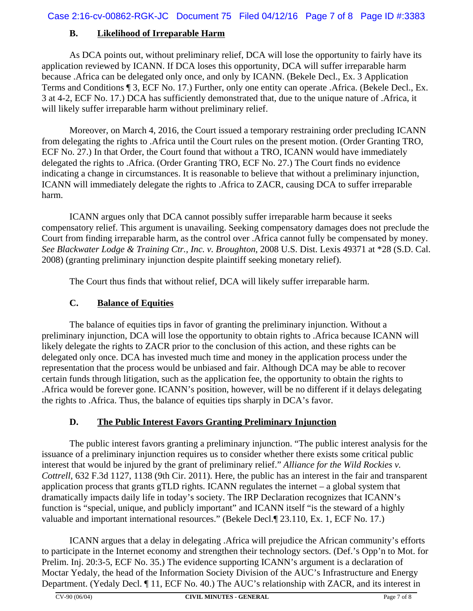# **B. Likelihood of Irreparable Harm**

As DCA points out, without preliminary relief, DCA will lose the opportunity to fairly have its application reviewed by ICANN. If DCA loses this opportunity, DCA will suffer irreparable harm because .Africa can be delegated only once, and only by ICANN. (Bekele Decl., Ex. 3 Application Terms and Conditions ¶ 3, ECF No. 17.) Further, only one entity can operate .Africa. (Bekele Decl., Ex. 3 at 4-2, ECF No. 17.) DCA has sufficiently demonstrated that, due to the unique nature of .Africa, it will likely suffer irreparable harm without preliminary relief.

Moreover, on March 4, 2016, the Court issued a temporary restraining order precluding ICANN from delegating the rights to .Africa until the Court rules on the present motion. (Order Granting TRO, ECF No. 27.) In that Order, the Court found that without a TRO, ICANN would have immediately delegated the rights to .Africa. (Order Granting TRO, ECF No. 27.) The Court finds no evidence indicating a change in circumstances. It is reasonable to believe that without a preliminary injunction, ICANN will immediately delegate the rights to .Africa to ZACR, causing DCA to suffer irreparable harm.

ICANN argues only that DCA cannot possibly suffer irreparable harm because it seeks compensatory relief. This argument is unavailing. Seeking compensatory damages does not preclude the Court from finding irreparable harm, as the control over .Africa cannot fully be compensated by money. *See Blackwater Lodge & Training Ctr., Inc. v. Broughton*, 2008 U.S. Dist. Lexis 49371 at \*28 (S.D. Cal. 2008) (granting preliminary injunction despite plaintiff seeking monetary relief).

The Court thus finds that without relief, DCA will likely suffer irreparable harm.

# **C. Balance of Equities**

The balance of equities tips in favor of granting the preliminary injunction. Without a preliminary injunction, DCA will lose the opportunity to obtain rights to .Africa because ICANN will likely delegate the rights to ZACR prior to the conclusion of this action, and these rights can be delegated only once. DCA has invested much time and money in the application process under the representation that the process would be unbiased and fair. Although DCA may be able to recover certain funds through litigation, such as the application fee, the opportunity to obtain the rights to .Africa would be forever gone. ICANN's position, however, will be no different if it delays delegating the rights to .Africa. Thus, the balance of equities tips sharply in DCA's favor.

# **D. The Public Interest Favors Granting Preliminary Injunction**

The public interest favors granting a preliminary injunction. "The public interest analysis for the issuance of a preliminary injunction requires us to consider whether there exists some critical public interest that would be injured by the grant of preliminary relief." *Alliance for the Wild Rockies v. Cottrell*, 632 F.3d 1127, 1138 (9th Cir. 2011). Here, the public has an interest in the fair and transparent application process that grants gTLD rights. ICANN regulates the internet – a global system that dramatically impacts daily life in today's society. The IRP Declaration recognizes that ICANN's function is "special, unique, and publicly important" and ICANN itself "is the steward of a highly valuable and important international resources." (Bekele Decl.¶ 23.110, Ex. 1, ECF No. 17.)

ICANN argues that a delay in delegating .Africa will prejudice the African community's efforts to participate in the Internet economy and strengthen their technology sectors. (Def.'s Opp'n to Mot. for Prelim. Inj. 20:3-5, ECF No. 35.) The evidence supporting ICANN's argument is a declaration of Moctar Yedaly, the head of the Information Society Division of the AUC's Infrastructure and Energy Department. (Yedaly Decl. ¶ 11, ECF No. 40.) The AUC's relationship with ZACR, and its interest in